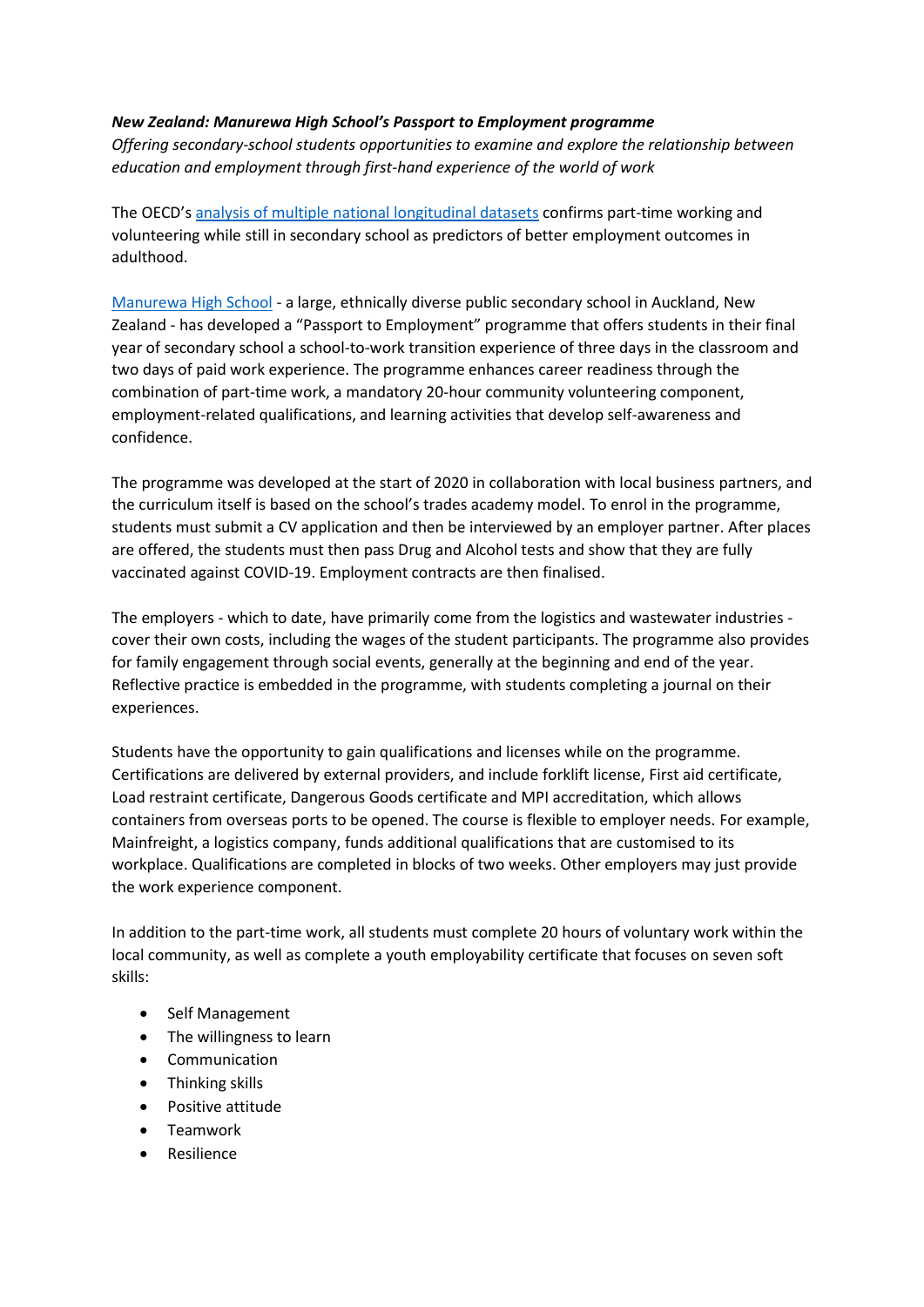## *New Zealand: Manurewa High School's Passport to Employment programme*

*Offering secondary-school students opportunities to examine and explore the relationship between education and employment through first-hand experience of the world of work*

The OECD's [analysis of multiple national longitudinal datasets](https://www.oecd-ilibrary.org/education/indicators-of-teenage-career-readiness_cec854f8-en) confirms part-time working and volunteering while still in secondary school as predictors of better employment outcomes in adulthood.

[Manurewa High School](https://www.manurewa.school.nz/) - a large, ethnically diverse public secondary school in Auckland, New Zealand - has developed a "Passport to Employment" programme that offers students in their final year of secondary school a school-to-work transition experience of three days in the classroom and two days of paid work experience. The programme enhances career readiness through the combination of part-time work, a mandatory 20-hour community volunteering component, employment-related qualifications, and learning activities that develop self-awareness and confidence.

The programme was developed at the start of 2020 in collaboration with local business partners, and the curriculum itself is based on the school's trades academy model. To enrol in the programme, students must submit a CV application and then be interviewed by an employer partner. After places are offered, the students must then pass Drug and Alcohol tests and show that they are fully vaccinated against COVID-19. Employment contracts are then finalised.

The employers - which to date, have primarily come from the logistics and wastewater industries cover their own costs, including the wages of the student participants. The programme also provides for family engagement through social events, generally at the beginning and end of the year. Reflective practice is embedded in the programme, with students completing a journal on their experiences.

Students have the opportunity to gain qualifications and licenses while on the programme. Certifications are delivered by external providers, and include forklift license, First aid certificate, Load restraint certificate, Dangerous Goods certificate and MPI accreditation, which allows containers from overseas ports to be opened. The course is flexible to employer needs. For example, Mainfreight, a logistics company, funds additional qualifications that are customised to its workplace. Qualifications are completed in blocks of two weeks. Other employers may just provide the work experience component.

In addition to the part-time work, all students must complete 20 hours of voluntary work within the local community, as well as complete a youth employability certificate that focuses on seven soft skills:

- Self Management
- The willingness to learn
- Communication
- Thinking skills
- Positive attitude
- Teamwork
- Resilience